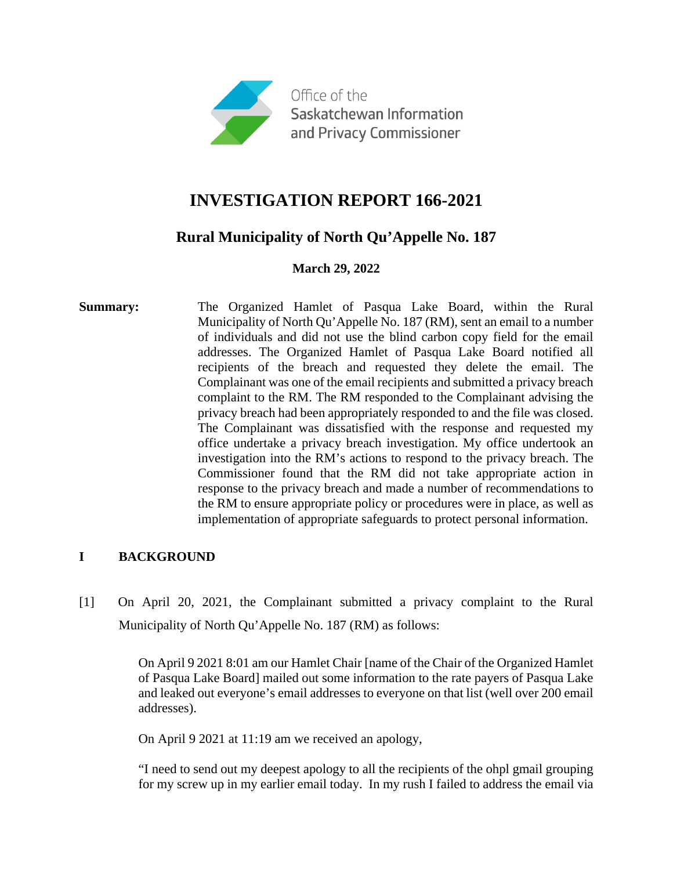

# **INVESTIGATION REPORT 166-2021**

# **Rural Municipality of North Qu'Appelle No. 187**

# **March 29, 2022**

**Summary:** The Organized Hamlet of Pasqua Lake Board, within the Rural Municipality of North Qu'Appelle No. 187 (RM), sent an email to a number of individuals and did not use the blind carbon copy field for the email addresses. The Organized Hamlet of Pasqua Lake Board notified all recipients of the breach and requested they delete the email. The Complainant was one of the email recipients and submitted a privacy breach complaint to the RM. The RM responded to the Complainant advising the privacy breach had been appropriately responded to and the file was closed. The Complainant was dissatisfied with the response and requested my office undertake a privacy breach investigation. My office undertook an investigation into the RM's actions to respond to the privacy breach. The Commissioner found that the RM did not take appropriate action in response to the privacy breach and made a number of recommendations to the RM to ensure appropriate policy or procedures were in place, as well as implementation of appropriate safeguards to protect personal information.

# **I BACKGROUND**

[1] On April 20, 2021, the Complainant submitted a privacy complaint to the Rural Municipality of North Qu'Appelle No. 187 (RM) as follows:

> On April 9 2021 8:01 am our Hamlet Chair [name of the Chair of the Organized Hamlet of Pasqua Lake Board] mailed out some information to the rate payers of Pasqua Lake and leaked out everyone's email addresses to everyone on that list (well over 200 email addresses).

On April 9 2021 at 11:19 am we received an apology,

"I need to send out my deepest apology to all the recipients of the ohpl gmail grouping for my screw up in my earlier email today. In my rush I failed to address the email via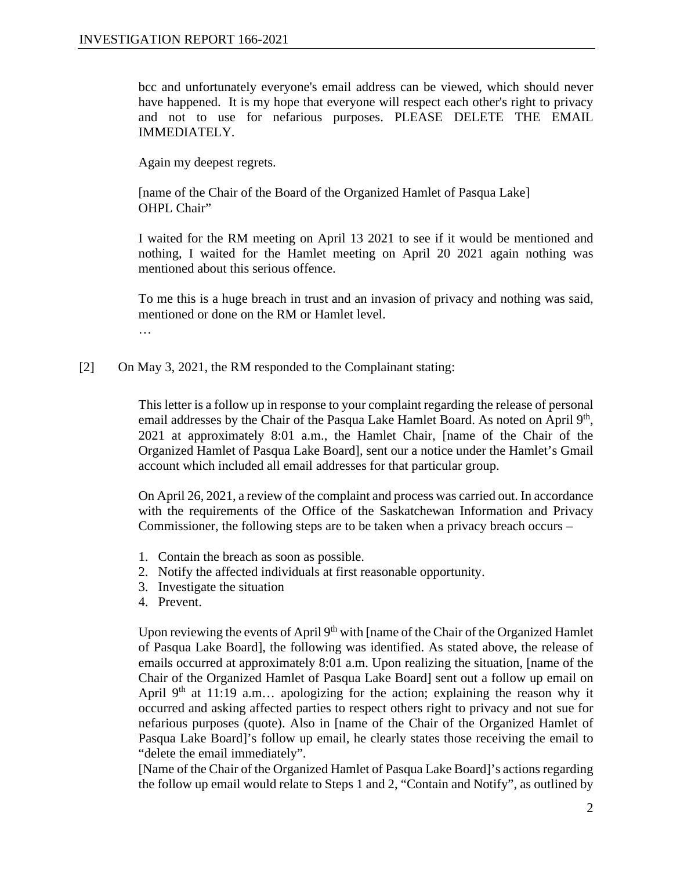bcc and unfortunately everyone's email address can be viewed, which should never have happened. It is my hope that everyone will respect each other's right to privacy and not to use for nefarious purposes. PLEASE DELETE THE EMAIL IMMEDIATELY.

Again my deepest regrets.

[name of the Chair of the Board of the Organized Hamlet of Pasqua Lake] OHPL Chair"

I waited for the RM meeting on April 13 2021 to see if it would be mentioned and nothing, I waited for the Hamlet meeting on April 20 2021 again nothing was mentioned about this serious offence.

To me this is a huge breach in trust and an invasion of privacy and nothing was said, mentioned or done on the RM or Hamlet level. …

[2] On May 3, 2021, the RM responded to the Complainant stating:

This letter is a follow up in response to your complaint regarding the release of personal email addresses by the Chair of the Pasqua Lake Hamlet Board. As noted on April 9<sup>th</sup>, 2021 at approximately 8:01 a.m., the Hamlet Chair, [name of the Chair of the Organized Hamlet of Pasqua Lake Board], sent our a notice under the Hamlet's Gmail account which included all email addresses for that particular group.

On April 26, 2021, a review of the complaint and process was carried out. In accordance with the requirements of the Office of the Saskatchewan Information and Privacy Commissioner, the following steps are to be taken when a privacy breach occurs –

- 1. Contain the breach as soon as possible.
- 2. Notify the affected individuals at first reasonable opportunity.
- 3. Investigate the situation
- 4. Prevent.

Upon reviewing the events of April 9<sup>th</sup> with [name of the Chair of the Organized Hamlet of Pasqua Lake Board], the following was identified. As stated above, the release of emails occurred at approximately 8:01 a.m. Upon realizing the situation, [name of the Chair of the Organized Hamlet of Pasqua Lake Board] sent out a follow up email on April  $9<sup>th</sup>$  at 11:19 a.m... apologizing for the action; explaining the reason why it occurred and asking affected parties to respect others right to privacy and not sue for nefarious purposes (quote). Also in [name of the Chair of the Organized Hamlet of Pasqua Lake Board]'s follow up email, he clearly states those receiving the email to "delete the email immediately".

[Name of the Chair of the Organized Hamlet of Pasqua Lake Board]'s actions regarding the follow up email would relate to Steps 1 and 2, "Contain and Notify", as outlined by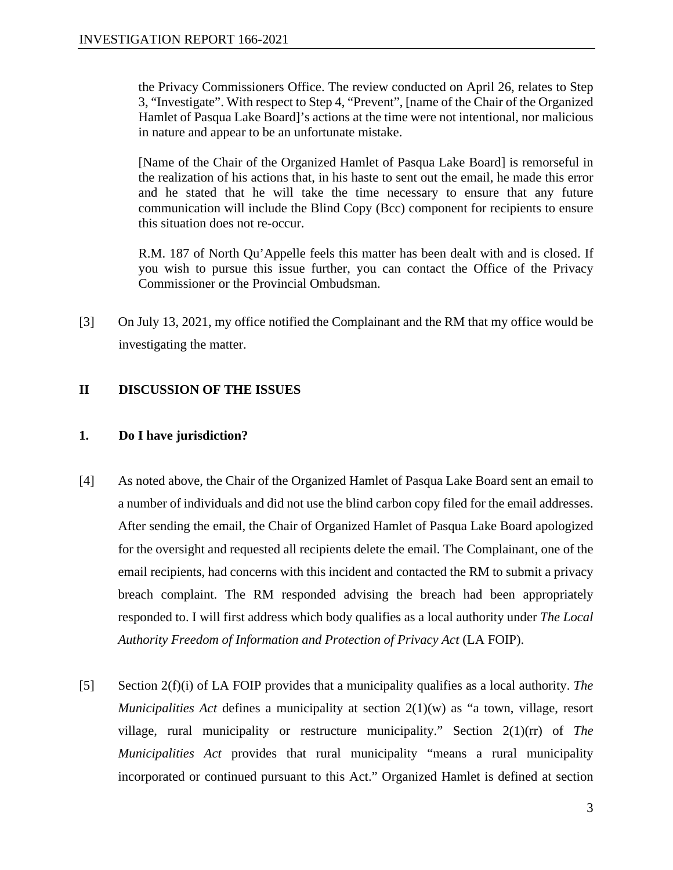the Privacy Commissioners Office. The review conducted on April 26, relates to Step 3, "Investigate". With respect to Step 4, "Prevent", [name of the Chair of the Organized Hamlet of Pasqua Lake Board]'s actions at the time were not intentional, nor malicious in nature and appear to be an unfortunate mistake.

[Name of the Chair of the Organized Hamlet of Pasqua Lake Board] is remorseful in the realization of his actions that, in his haste to sent out the email, he made this error and he stated that he will take the time necessary to ensure that any future communication will include the Blind Copy (Bcc) component for recipients to ensure this situation does not re-occur.

R.M. 187 of North Qu'Appelle feels this matter has been dealt with and is closed. If you wish to pursue this issue further, you can contact the Office of the Privacy Commissioner or the Provincial Ombudsman.

[3] On July 13, 2021, my office notified the Complainant and the RM that my office would be investigating the matter.

# **II DISCUSSION OF THE ISSUES**

#### **1. Do I have jurisdiction?**

- [4] As noted above, the Chair of the Organized Hamlet of Pasqua Lake Board sent an email to a number of individuals and did not use the blind carbon copy filed for the email addresses. After sending the email, the Chair of Organized Hamlet of Pasqua Lake Board apologized for the oversight and requested all recipients delete the email. The Complainant, one of the email recipients, had concerns with this incident and contacted the RM to submit a privacy breach complaint. The RM responded advising the breach had been appropriately responded to. I will first address which body qualifies as a local authority under *The Local Authority Freedom of Information and Protection of Privacy Act* (LA FOIP).
- [5] Section 2(f)(i) of LA FOIP provides that a municipality qualifies as a local authority. *The Municipalities Act* defines a municipality at section 2(1)(w) as "a town, village, resort village, rural municipality or restructure municipality." Section 2(1)(rr) of *The Municipalities Act* provides that rural municipality "means a rural municipality incorporated or continued pursuant to this Act." Organized Hamlet is defined at section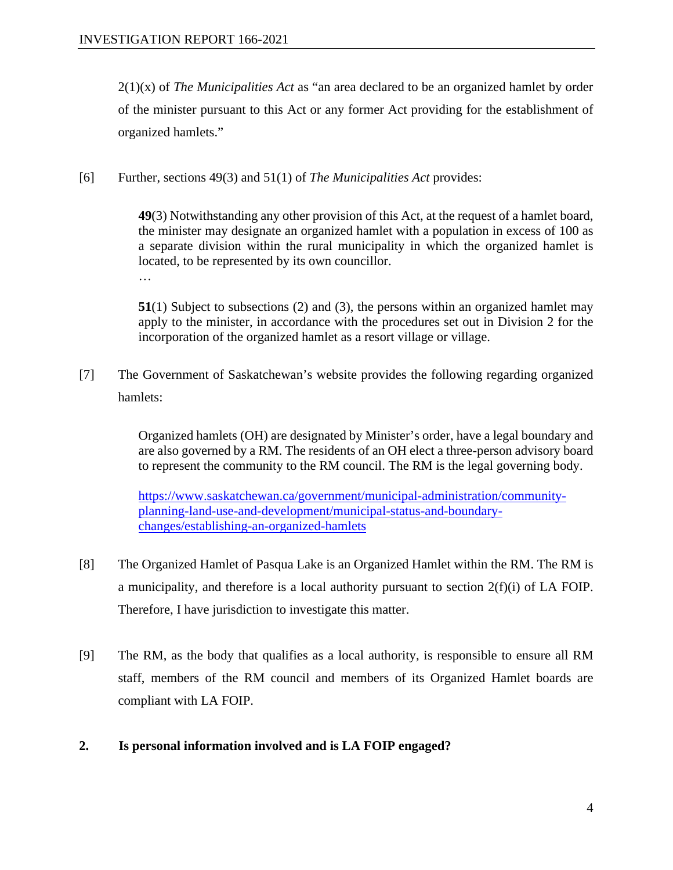2(1)(x) of *The Municipalities Act* as "an area declared to be an organized hamlet by order of the minister pursuant to this Act or any former Act providing for the establishment of organized hamlets."

[6] Further, sections 49(3) and 51(1) of *The Municipalities Act* provides:

**49**(3) Notwithstanding any other provision of this Act, at the request of a hamlet board, the minister may designate an organized hamlet with a population in excess of 100 as a separate division within the rural municipality in which the organized hamlet is located, to be represented by its own councillor. …

**51**(1) Subject to subsections (2) and (3), the persons within an organized hamlet may apply to the minister, in accordance with the procedures set out in Division 2 for the incorporation of the organized hamlet as a resort village or village.

[7] The Government of Saskatchewan's website provides the following regarding organized hamlets:

> Organized hamlets (OH) are designated by Minister's order, have a legal boundary and are also governed by a RM. The residents of an OH elect a three-person advisory board to represent the community to the RM council. The RM is the legal governing body.

[https://www.saskatchewan.ca/government/municipal-administration/community](https://www.saskatchewan.ca/government/municipal-administration/community-planning-land-use-and-development/municipal-status-and-boundary-changes/establishing-an-organized-hamlets)[planning-land-use-and-development/municipal-status-and-boundary](https://www.saskatchewan.ca/government/municipal-administration/community-planning-land-use-and-development/municipal-status-and-boundary-changes/establishing-an-organized-hamlets)[changes/establishing-an-organized-hamlets](https://www.saskatchewan.ca/government/municipal-administration/community-planning-land-use-and-development/municipal-status-and-boundary-changes/establishing-an-organized-hamlets)

- [8] The Organized Hamlet of Pasqua Lake is an Organized Hamlet within the RM. The RM is a municipality, and therefore is a local authority pursuant to section 2(f)(i) of LA FOIP. Therefore, I have jurisdiction to investigate this matter.
- [9] The RM, as the body that qualifies as a local authority, is responsible to ensure all RM staff, members of the RM council and members of its Organized Hamlet boards are compliant with LA FOIP.
- **2. Is personal information involved and is LA FOIP engaged?**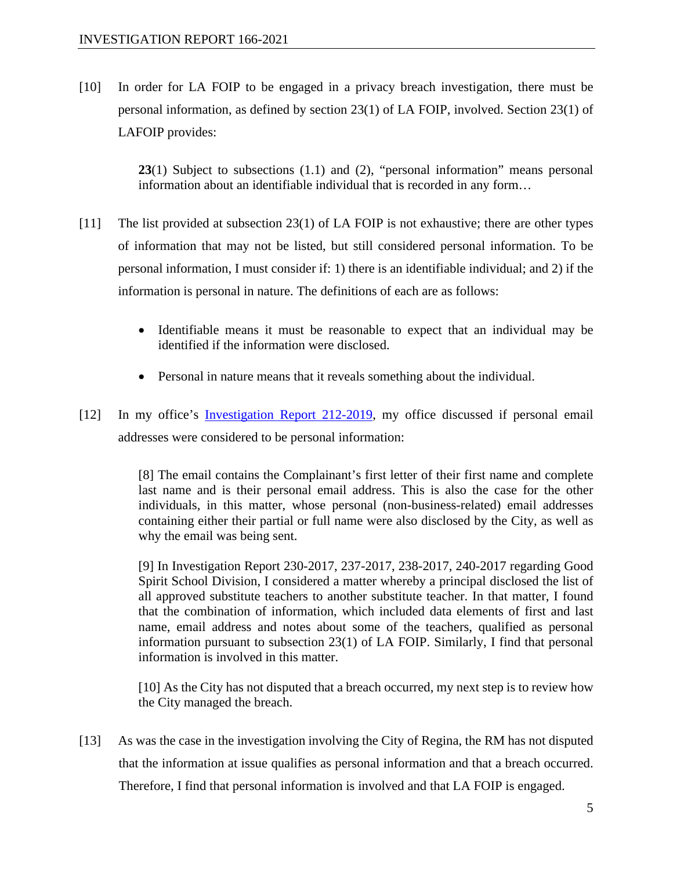[10] In order for LA FOIP to be engaged in a privacy breach investigation, there must be personal information, as defined by section 23(1) of LA FOIP, involved. Section 23(1) of LAFOIP provides:

> **23**(1) Subject to subsections (1.1) and (2), "personal information" means personal information about an identifiable individual that is recorded in any form…

- [11] The list provided at subsection 23(1) of LA FOIP is not exhaustive; there are other types of information that may not be listed, but still considered personal information. To be personal information, I must consider if: 1) there is an identifiable individual; and 2) if the information is personal in nature. The definitions of each are as follows:
	- Identifiable means it must be reasonable to expect that an individual may be identified if the information were disclosed.
	- Personal in nature means that it reveals something about the individual.
- [12] In my office's [Investigation Report 212-2019,](https://oipc.sk.ca/assets/lafoip-investigation-212-2019.pdf) my office discussed if personal email addresses were considered to be personal information:

[8] The email contains the Complainant's first letter of their first name and complete last name and is their personal email address. This is also the case for the other individuals, in this matter, whose personal (non-business-related) email addresses containing either their partial or full name were also disclosed by the City, as well as why the email was being sent.

[9] In Investigation Report 230-2017, 237-2017, 238-2017, 240-2017 regarding Good Spirit School Division, I considered a matter whereby a principal disclosed the list of all approved substitute teachers to another substitute teacher. In that matter, I found that the combination of information, which included data elements of first and last name, email address and notes about some of the teachers, qualified as personal information pursuant to subsection 23(1) of LA FOIP. Similarly, I find that personal information is involved in this matter.

[10] As the City has not disputed that a breach occurred, my next step is to review how the City managed the breach.

[13] As was the case in the investigation involving the City of Regina, the RM has not disputed that the information at issue qualifies as personal information and that a breach occurred. Therefore, I find that personal information is involved and that LA FOIP is engaged.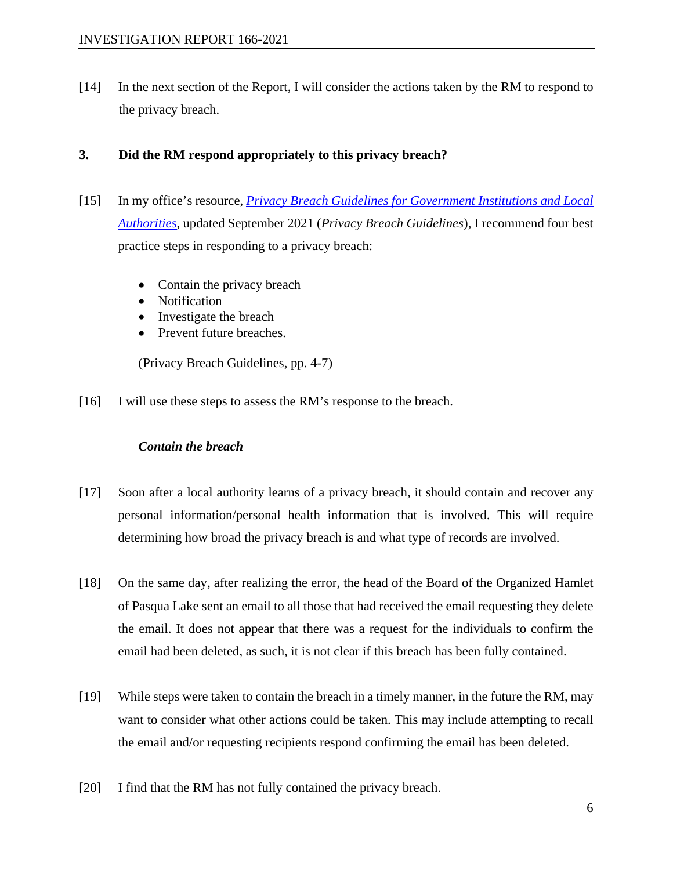[14] In the next section of the Report, I will consider the actions taken by the RM to respond to the privacy breach.

### **3. Did the RM respond appropriately to this privacy breach?**

- [15] In my office's resource, *[Privacy Breach Guidelines for Government Institutions and Local](https://oipc.sk.ca/assets/privacy-breach-guidelines-for-government-institutions-and-local-authorities.pdf)  [Authorities](https://oipc.sk.ca/assets/privacy-breach-guidelines-for-government-institutions-and-local-authorities.pdf)*, updated September 2021 (*Privacy Breach Guidelines*), I recommend four best practice steps in responding to a privacy breach:
	- Contain the privacy breach
	- Notification
	- Investigate the breach
	- Prevent future breaches.

(Privacy Breach Guidelines, pp. 4-7)

[16] I will use these steps to assess the RM's response to the breach.

#### *Contain the breach*

- [17] Soon after a local authority learns of a privacy breach, it should contain and recover any personal information/personal health information that is involved. This will require determining how broad the privacy breach is and what type of records are involved.
- [18] On the same day, after realizing the error, the head of the Board of the Organized Hamlet of Pasqua Lake sent an email to all those that had received the email requesting they delete the email. It does not appear that there was a request for the individuals to confirm the email had been deleted, as such, it is not clear if this breach has been fully contained.
- [19] While steps were taken to contain the breach in a timely manner, in the future the RM, may want to consider what other actions could be taken. This may include attempting to recall the email and/or requesting recipients respond confirming the email has been deleted.
- [20] I find that the RM has not fully contained the privacy breach.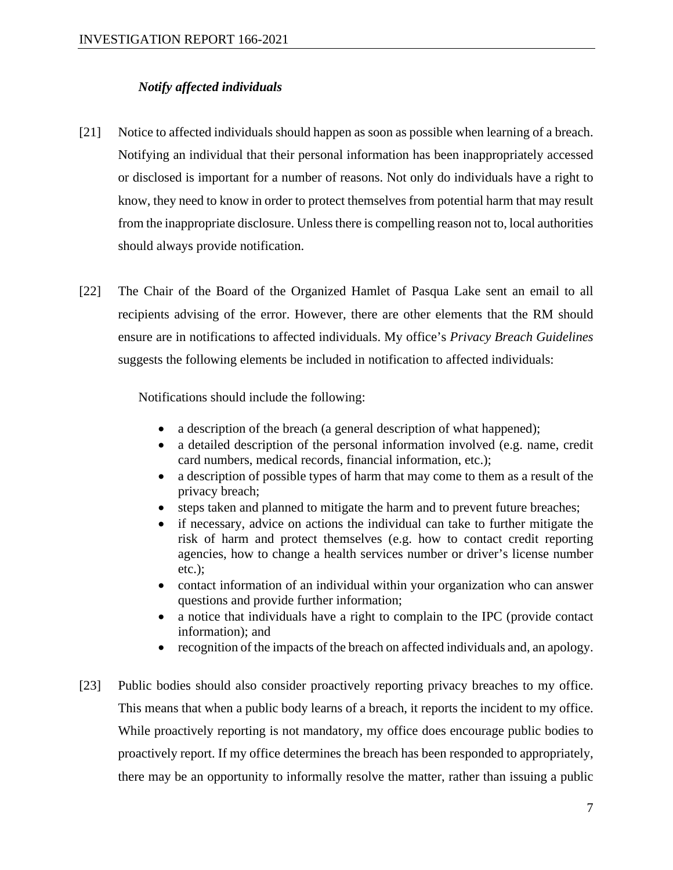#### *Notify affected individuals*

- [21] Notice to affected individuals should happen as soon as possible when learning of a breach. Notifying an individual that their personal information has been inappropriately accessed or disclosed is important for a number of reasons. Not only do individuals have a right to know, they need to know in order to protect themselves from potential harm that may result from the inappropriate disclosure. Unless there is compelling reason not to, local authorities should always provide notification.
- [22] The Chair of the Board of the Organized Hamlet of Pasqua Lake sent an email to all recipients advising of the error. However, there are other elements that the RM should ensure are in notifications to affected individuals. My office's *Privacy Breach Guidelines*  suggests the following elements be included in notification to affected individuals:

Notifications should include the following:

- a description of the breach (a general description of what happened);
- a detailed description of the personal information involved (e.g. name, credit card numbers, medical records, financial information, etc.);
- a description of possible types of harm that may come to them as a result of the privacy breach;
- steps taken and planned to mitigate the harm and to prevent future breaches;
- if necessary, advice on actions the individual can take to further mitigate the risk of harm and protect themselves (e.g. how to contact credit reporting agencies, how to change a health services number or driver's license number etc.);
- contact information of an individual within your organization who can answer questions and provide further information;
- a notice that individuals have a right to complain to the IPC (provide contact information); and
- recognition of the impacts of the breach on affected individuals and, an apology.
- [23] Public bodies should also consider proactively reporting privacy breaches to my office. This means that when a public body learns of a breach, it reports the incident to my office. While proactively reporting is not mandatory, my office does encourage public bodies to proactively report. If my office determines the breach has been responded to appropriately, there may be an opportunity to informally resolve the matter, rather than issuing a public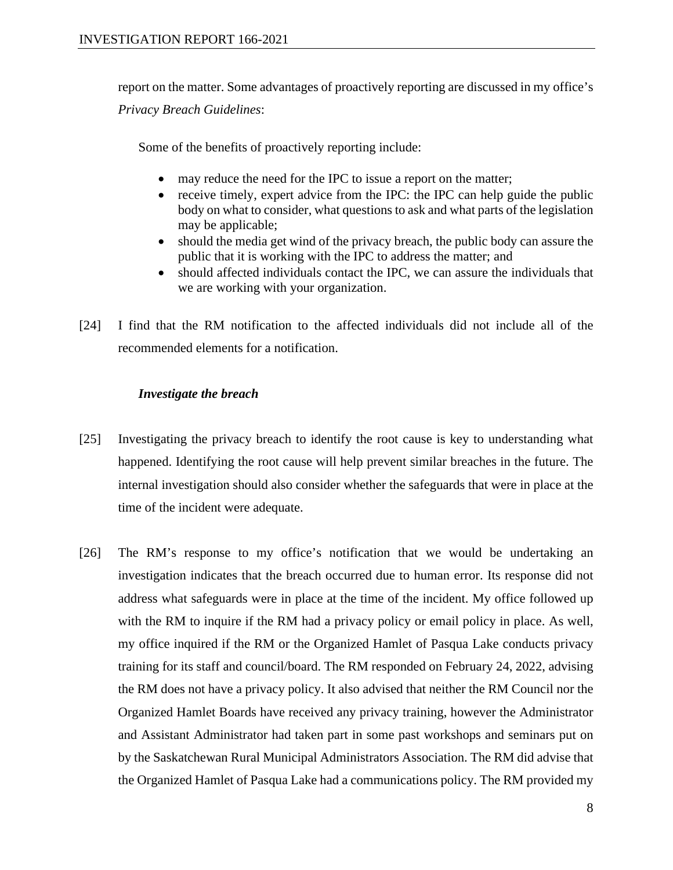report on the matter. Some advantages of proactively reporting are discussed in my office's *Privacy Breach Guidelines*:

Some of the benefits of proactively reporting include:

- may reduce the need for the IPC to issue a report on the matter;
- receive timely, expert advice from the IPC: the IPC can help guide the public body on what to consider, what questions to ask and what parts of the legislation may be applicable;
- should the media get wind of the privacy breach, the public body can assure the public that it is working with the IPC to address the matter; and
- should affected individuals contact the IPC, we can assure the individuals that we are working with your organization.
- [24] I find that the RM notification to the affected individuals did not include all of the recommended elements for a notification.

#### *Investigate the breach*

- [25] Investigating the privacy breach to identify the root cause is key to understanding what happened. Identifying the root cause will help prevent similar breaches in the future. The internal investigation should also consider whether the safeguards that were in place at the time of the incident were adequate.
- [26] The RM's response to my office's notification that we would be undertaking an investigation indicates that the breach occurred due to human error. Its response did not address what safeguards were in place at the time of the incident. My office followed up with the RM to inquire if the RM had a privacy policy or email policy in place. As well, my office inquired if the RM or the Organized Hamlet of Pasqua Lake conducts privacy training for its staff and council/board. The RM responded on February 24, 2022, advising the RM does not have a privacy policy. It also advised that neither the RM Council nor the Organized Hamlet Boards have received any privacy training, however the Administrator and Assistant Administrator had taken part in some past workshops and seminars put on by the Saskatchewan Rural Municipal Administrators Association. The RM did advise that the Organized Hamlet of Pasqua Lake had a communications policy. The RM provided my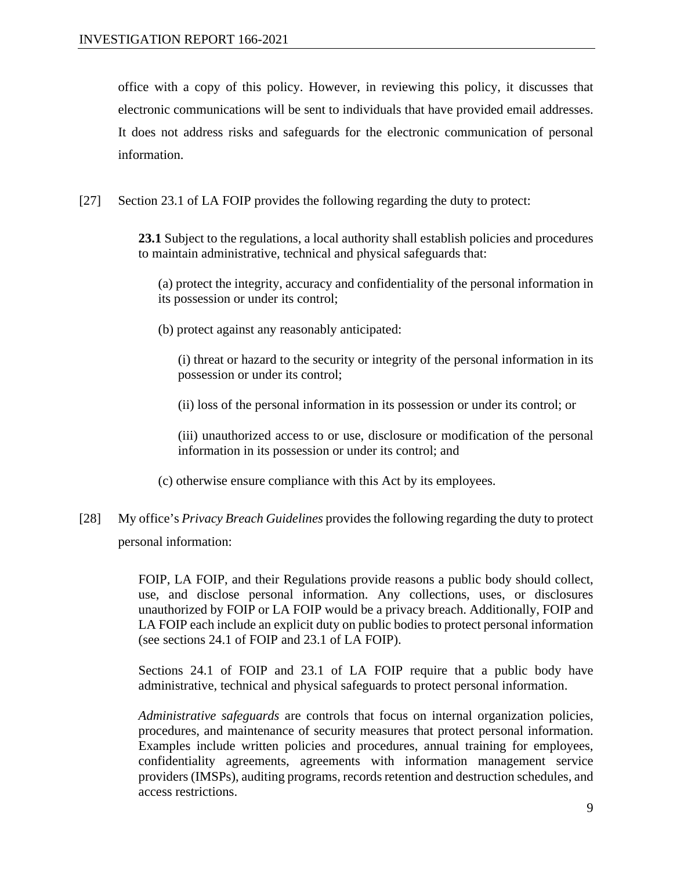office with a copy of this policy. However, in reviewing this policy, it discusses that electronic communications will be sent to individuals that have provided email addresses. It does not address risks and safeguards for the electronic communication of personal information.

[27] Section 23.1 of LA FOIP provides the following regarding the duty to protect:

**23.1** Subject to the regulations, a local authority shall establish policies and procedures to maintain administrative, technical and physical safeguards that:

(a) protect the integrity, accuracy and confidentiality of the personal information in its possession or under its control;

(b) protect against any reasonably anticipated:

(i) threat or hazard to the security or integrity of the personal information in its possession or under its control;

(ii) loss of the personal information in its possession or under its control; or

(iii) unauthorized access to or use, disclosure or modification of the personal information in its possession or under its control; and

- (c) otherwise ensure compliance with this Act by its employees.
- [28] My office's *Privacy Breach Guidelines* provides the following regarding the duty to protect personal information:

FOIP, LA FOIP, and their Regulations provide reasons a public body should collect, use, and disclose personal information. Any collections, uses, or disclosures unauthorized by FOIP or LA FOIP would be a privacy breach. Additionally, FOIP and LA FOIP each include an explicit duty on public bodies to protect personal information (see sections 24.1 of FOIP and 23.1 of LA FOIP).

Sections 24.1 of FOIP and 23.1 of LA FOIP require that a public body have administrative, technical and physical safeguards to protect personal information.

*Administrative safeguards* are controls that focus on internal organization policies, procedures, and maintenance of security measures that protect personal information. Examples include written policies and procedures, annual training for employees, confidentiality agreements, agreements with information management service providers (IMSPs), auditing programs, records retention and destruction schedules, and access restrictions.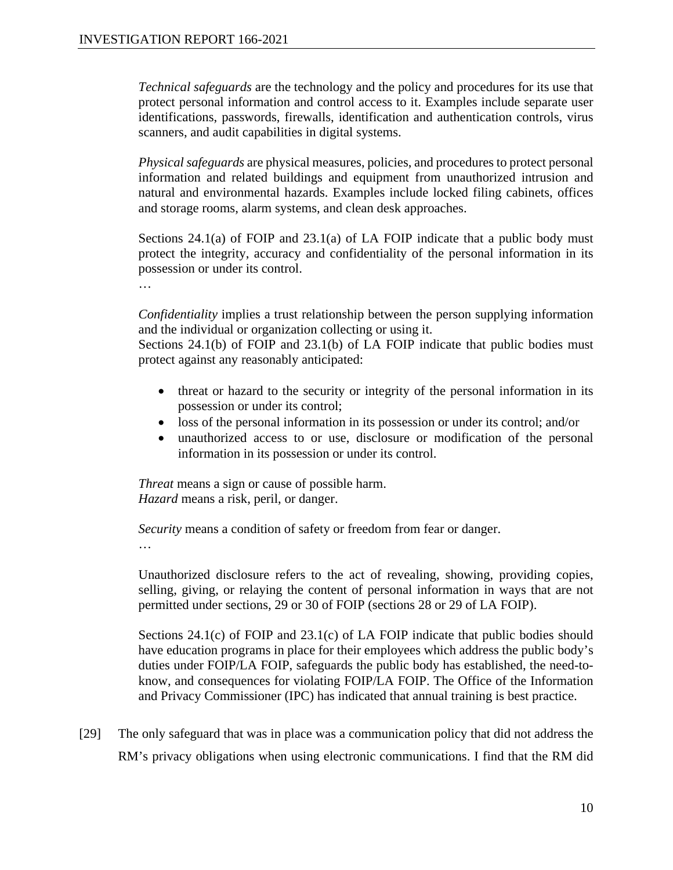*Technical safeguards* are the technology and the policy and procedures for its use that protect personal information and control access to it. Examples include separate user identifications, passwords, firewalls, identification and authentication controls, virus scanners, and audit capabilities in digital systems.

*Physical safeguards* are physical measures, policies, and procedures to protect personal information and related buildings and equipment from unauthorized intrusion and natural and environmental hazards. Examples include locked filing cabinets, offices and storage rooms, alarm systems, and clean desk approaches.

Sections 24.1(a) of FOIP and 23.1(a) of LA FOIP indicate that a public body must protect the integrity, accuracy and confidentiality of the personal information in its possession or under its control.

…

*Confidentiality* implies a trust relationship between the person supplying information and the individual or organization collecting or using it.

Sections 24.1(b) of FOIP and 23.1(b) of LA FOIP indicate that public bodies must protect against any reasonably anticipated:

- threat or hazard to the security or integrity of the personal information in its possession or under its control;
- loss of the personal information in its possession or under its control; and/or
- unauthorized access to or use, disclosure or modification of the personal information in its possession or under its control.

*Threat* means a sign or cause of possible harm. *Hazard* means a risk, peril, or danger.

*Security* means a condition of safety or freedom from fear or danger.

…

Unauthorized disclosure refers to the act of revealing, showing, providing copies, selling, giving, or relaying the content of personal information in ways that are not permitted under sections, 29 or 30 of FOIP (sections 28 or 29 of LA FOIP).

Sections 24.1(c) of FOIP and 23.1(c) of LA FOIP indicate that public bodies should have education programs in place for their employees which address the public body's duties under FOIP/LA FOIP, safeguards the public body has established, the need-toknow, and consequences for violating FOIP/LA FOIP. The Office of the Information and Privacy Commissioner (IPC) has indicated that annual training is best practice.

[29] The only safeguard that was in place was a communication policy that did not address the RM's privacy obligations when using electronic communications. I find that the RM did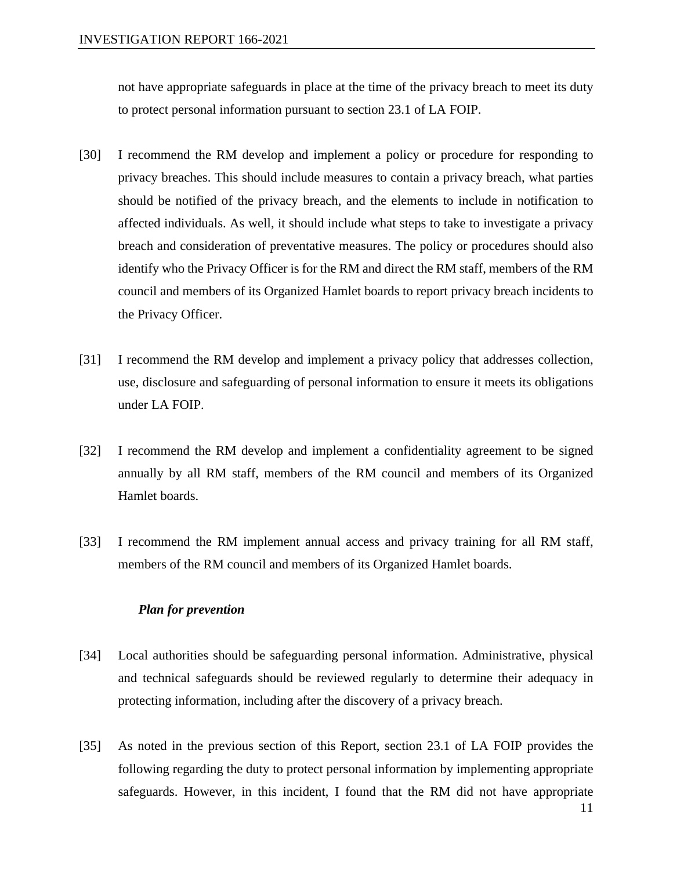not have appropriate safeguards in place at the time of the privacy breach to meet its duty to protect personal information pursuant to section 23.1 of LA FOIP.

- [30] I recommend the RM develop and implement a policy or procedure for responding to privacy breaches. This should include measures to contain a privacy breach, what parties should be notified of the privacy breach, and the elements to include in notification to affected individuals. As well, it should include what steps to take to investigate a privacy breach and consideration of preventative measures. The policy or procedures should also identify who the Privacy Officer is for the RM and direct the RM staff, members of the RM council and members of its Organized Hamlet boards to report privacy breach incidents to the Privacy Officer.
- [31] I recommend the RM develop and implement a privacy policy that addresses collection, use, disclosure and safeguarding of personal information to ensure it meets its obligations under LA FOIP.
- [32] I recommend the RM develop and implement a confidentiality agreement to be signed annually by all RM staff, members of the RM council and members of its Organized Hamlet boards.
- [33] I recommend the RM implement annual access and privacy training for all RM staff, members of the RM council and members of its Organized Hamlet boards.

#### *Plan for prevention*

- [34] Local authorities should be safeguarding personal information. Administrative, physical and technical safeguards should be reviewed regularly to determine their adequacy in protecting information, including after the discovery of a privacy breach.
- [35] As noted in the previous section of this Report, section 23.1 of LA FOIP provides the following regarding the duty to protect personal information by implementing appropriate safeguards. However, in this incident, I found that the RM did not have appropriate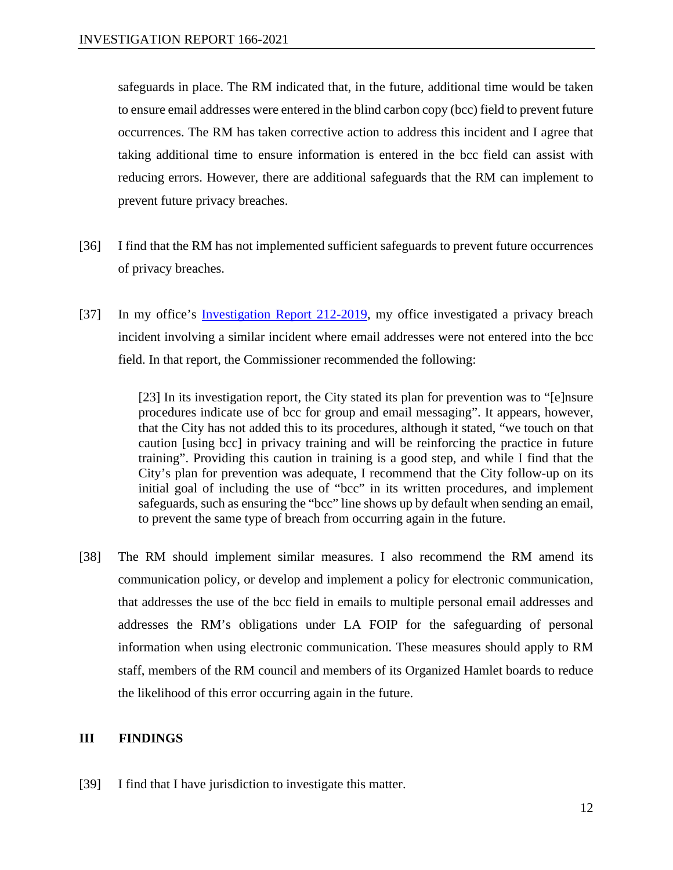safeguards in place. The RM indicated that, in the future, additional time would be taken to ensure email addresses were entered in the blind carbon copy (bcc) field to prevent future occurrences. The RM has taken corrective action to address this incident and I agree that taking additional time to ensure information is entered in the bcc field can assist with reducing errors. However, there are additional safeguards that the RM can implement to prevent future privacy breaches.

- [36] I find that the RM has not implemented sufficient safeguards to prevent future occurrences of privacy breaches.
- [37] In my office's [Investigation Report 212-2019,](https://oipc.sk.ca/assets/lafoip-investigation-212-2019.pdf) my office investigated a privacy breach incident involving a similar incident where email addresses were not entered into the bcc field. In that report, the Commissioner recommended the following:

[23] In its investigation report, the City stated its plan for prevention was to "[e]nsure procedures indicate use of bcc for group and email messaging". It appears, however, that the City has not added this to its procedures, although it stated, "we touch on that caution [using bcc] in privacy training and will be reinforcing the practice in future training". Providing this caution in training is a good step, and while I find that the City's plan for prevention was adequate, I recommend that the City follow-up on its initial goal of including the use of "bcc" in its written procedures, and implement safeguards, such as ensuring the "bcc" line shows up by default when sending an email, to prevent the same type of breach from occurring again in the future.

[38] The RM should implement similar measures. I also recommend the RM amend its communication policy, or develop and implement a policy for electronic communication, that addresses the use of the bcc field in emails to multiple personal email addresses and addresses the RM's obligations under LA FOIP for the safeguarding of personal information when using electronic communication. These measures should apply to RM staff, members of the RM council and members of its Organized Hamlet boards to reduce the likelihood of this error occurring again in the future.

#### **III FINDINGS**

[39] I find that I have jurisdiction to investigate this matter.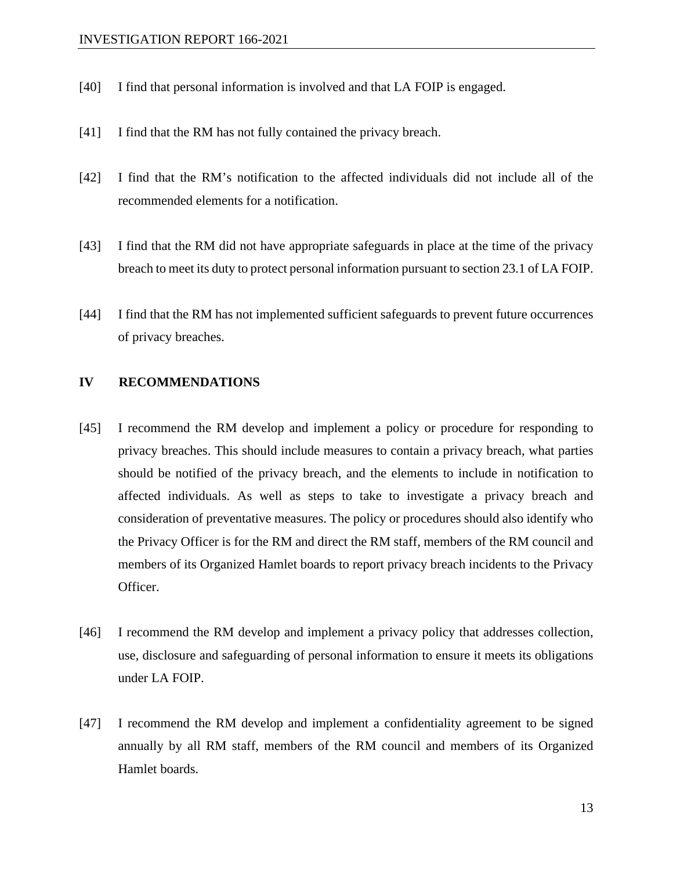- [40] I find that personal information is involved and that LA FOIP is engaged.
- [41] I find that the RM has not fully contained the privacy breach.
- [42] I find that the RM's notification to the affected individuals did not include all of the recommended elements for a notification.
- [43] I find that the RM did not have appropriate safeguards in place at the time of the privacy breach to meet its duty to protect personal information pursuant to section 23.1 of LA FOIP.
- [44] I find that the RM has not implemented sufficient safeguards to prevent future occurrences of privacy breaches.

#### **IV RECOMMENDATIONS**

- [45] I recommend the RM develop and implement a policy or procedure for responding to privacy breaches. This should include measures to contain a privacy breach, what parties should be notified of the privacy breach, and the elements to include in notification to affected individuals. As well as steps to take to investigate a privacy breach and consideration of preventative measures. The policy or procedures should also identify who the Privacy Officer is for the RM and direct the RM staff, members of the RM council and members of its Organized Hamlet boards to report privacy breach incidents to the Privacy Officer.
- [46] I recommend the RM develop and implement a privacy policy that addresses collection, use, disclosure and safeguarding of personal information to ensure it meets its obligations under LA FOIP.
- [47] I recommend the RM develop and implement a confidentiality agreement to be signed annually by all RM staff, members of the RM council and members of its Organized Hamlet boards.